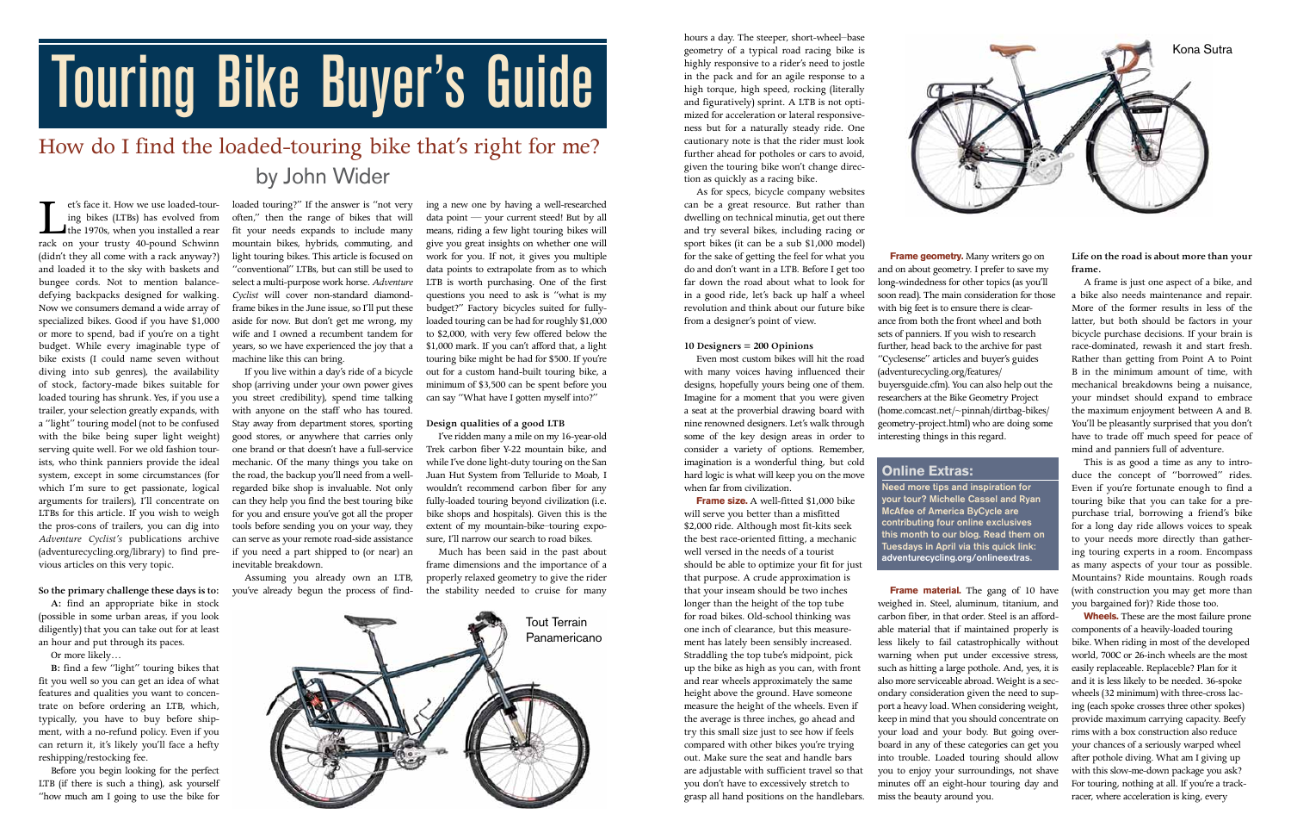et's face it. How we use loaded-tour-<br>ing bikes (LTBs) has evolved from<br>the 1970s, when you installed a rear<br>rack on your trusty 40-pound Schwinn ing bikes (LTBs) has evolved from the 1970s, when you installed a rear rack on your trusty 40-pound Schwinn (didn't they all come with a rack anyway?) and loaded it to the sky with baskets and bungee cords. Not to mention balancedefying backpacks designed for walking. Now we consumers demand a wide array of specialized bikes. Good if you have \$1,000 or more to spend, bad if you're on a tight budget. While every imaginable type of bike exists (I could name seven without diving into sub genres), the availability of stock, factory-made bikes suitable for loaded touring has shrunk. Yes, if you use a trailer, your selection greatly expands, with a "light" touring model (not to be confused with the bike being super light weight) serving quite well. For we old fashion tourists, who think panniers provide the ideal system, except in some circumstances (for which I'm sure to get passionate, logical arguments for trailers), I'll concentrate on LTBs for this article. If you wish to weigh the pros-cons of trailers, you can dig into *Adventure Cyclist's* publications archive (adventurecycling.org/library) to find pre-if you need a part shipped to (or near) an vious articles on this very topic.

#### **So the primary challenge these days is to:**

**A:** find an appropriate bike in stock (possible in some urban areas, if you look diligently) that you can take out for at least an hour and put through its paces.

Or more likely…

**B:** find a few "light" touring bikes that fit you well so you can get an idea of what features and qualities you want to concentrate on before ordering an LTB, which, typically, you have to buy before shipment, with a no-refund policy. Even if you can return it, it's likely you'll face a hefty reshipping/restocking fee.

Before you begin looking for the perfect LTB (if there is such a thing), ask yourself "how much am I going to use the bike for

loaded touring?" If the answer is "not very often," then the range of bikes that will fit your needs expands to include many mountain bikes, hybrids, commuting, and light touring bikes. This article is focused on "conventional" LTBs, but can still be used to select a multi-purpose work horse. *Adventure Cyclist* will cover non-standard diamondframe bikes in the June issue, so I'll put these aside for now. But don't get me wrong, my wife and I owned a recumbent tandem for years, so we have experienced the joy that a machine like this can bring.

If you live within a day's ride of a bicycle shop (arriving under your own power gives you street credibility), spend time talking with anyone on the staff who has toured. Stay away from department stores, sporting good stores, or anywhere that carries only one brand or that doesn't have a full-service mechanic. Of the many things you take on the road, the backup you'll need from a wellregarded bike shop is invaluable. Not only can they help you find the best touring bike for you and ensure you've got all the proper tools before sending you on your way, they can serve as your remote road-side assistance inevitable breakdown.

Assuming you already own an LTB, you've already begun the process of find-

**Frame size.** A well-fitted \$1,000 bike will serve you better than a misfitted \$2,000 ride. Although most fit-kits seek the best race-oriented fitting, a mechanic well versed in the needs of a tourist should be able to optimize your fit for just that purpose. A crude approximation is that your inseam should be two inches longer than the height of the top tube for road bikes. Old-school thinking was one inch of clearance, but this measurement has lately been sensibly increased. Straddling the top tube's midpoint, pick up the bike as high as you can, with front and rear wheels approximately the same height above the ground. Have someone measure the height of the wheels. Even if the average is three inches, go ahead and try this small size just to see how if feels compared with other bikes you're trying out. Make sure the seat and handle bars are adjustable with sufficient travel so that you don't have to excessively stretch to grasp all hand positions on the handlebars.

ing a new one by having a well-researched data point — your current steed! But by all means, riding a few light touring bikes will give you great insights on whether one will work for you. If not, it gives you multiple data points to extrapolate from as to which LTB is worth purchasing. One of the first questions you need to ask is "what is my budget?" Factory bicycles suited for fullyloaded touring can be had for roughly \$1,000 to \$2,000, with very few offered below the \$1,000 mark. If you can't afford that, a light touring bike might be had for \$500. If you're out for a custom hand-built touring bike, a minimum of \$3,500 can be spent before you can say "What have I gotten myself into?"

**Frame geometry.** Many writers go on and on about geometry. I prefer to save my long-windedness for other topics (as you'll soon read). The main consideration for those with big feet is to ensure there is clearance from both the front wheel and both sets of panniers. If you wish to research further, head back to the archive for past "Cyclesense" articles and buyer's guides (adventurecycling.org/features/ buyersguide.cfm). You can also help out the researchers at the Bike Geometry Project (home.comcast.net/~pinnah/dirtbag-bikes/ geometry-project.html) who are doing some interesting things in this regard.

## **Design qualities of a good LTB**

I've ridden many a mile on my 16-year-old Trek carbon fiber Y-22 mountain bike, and while I've done light-duty touring on the San Juan Hut System from Telluride to Moab, I wouldn't recommend carbon fiber for any fully-loaded touring beyond civilization (i.e. bike shops and hospitals). Given this is the extent of my mountain-bike–touring exposure, I'll narrow our search to road bikes.

> **Frame material.** The gang of 10 have weighed in. Steel, aluminum, titanium, and carbon fiber, in that order. Steel is an affordable material that if maintained properly is less likely to fail catastrophically without warning when put under excessive stress, such as hitting a large pothole. And, yes, it is also more serviceable abroad. Weight is a secondary consideration given the need to support a heavy load. When considering weight, keep in mind that you should concentrate on your load and your body. But going overboard in any of these categories can get you into trouble. Loaded touring should allow you to enjoy your surroundings, not shave minutes off an eight-hour touring day and miss the beauty around you.

Much has been said in the past about frame dimensions and the importance of a properly relaxed geometry to give the rider the stability needed to cruise for many

hours a day. The steeper, short-wheel–base geometry of a typical road racing bike is highly responsive to a rider's need to jostle in the pack and for an agile response to a high torque, high speed, rocking (literally and figuratively) sprint. A LTB is not optimized for acceleration or lateral responsiveness but for a naturally steady ride. One cautionary note is that the rider must look further ahead for potholes or cars to avoid, given the touring bike won't change direction as quickly as a racing bike.

As for specs, bicycle company websites can be a great resource. But rather than dwelling on technical minutia, get out there and try several bikes, including racing or sport bikes (it can be a sub \$1,000 model) for the sake of getting the feel for what you do and don't want in a LTB. Before I get too far down the road about what to look for in a good ride, let's back up half a wheel revolution and think about our future bike from a designer's point of view.

#### **10 Designers = 200 Opinions**

Even most custom bikes will hit the road with many voices having influenced their designs, hopefully yours being one of them. Imagine for a moment that you were given a seat at the proverbial drawing board with nine renowned designers. Let's walk through some of the key design areas in order to consider a variety of options. Remember, imagination is a wonderful thing, but cold hard logic is what will keep you on the move when far from civilization.

**Life on the road is about more than your frame.**

A frame is just one aspect of a bike, and a bike also needs maintenance and repair. More of the former results in less of the latter, but both should be factors in your bicycle purchase decisions. If your brain is race-dominated, rewash it and start fresh. Rather than getting from Point A to Point B in the minimum amount of time, with mechanical breakdowns being a nuisance, your mindset should expand to embrace the maximum enjoyment between A and B. You'll be pleasantly surprised that you don't have to trade off much speed for peace of mind and panniers full of adventure.

This is as good a time as any to introduce the concept of "borrowed" rides. Even if you're fortunate enough to find a touring bike that you can take for a prepurchase trial, borrowing a friend's bike for a long day ride allows voices to speak to your needs more directly than gathering touring experts in a room. Encompass as many aspects of your tour as possible. Mountains? Ride mountains. Rough roads (with construction you may get more than you bargained for)? Ride those too.

**Wheels.** These are the most failure prone components of a heavily-loaded touring bike. When riding in most of the developed world, 700C or 26-inch wheels are the most easily replaceable. Replaceble? Plan for it and it is less likely to be needed. 36-spoke wheels (32 minimum) with three-cross lacing (each spoke crosses three other spokes) provide maximum carrying capacity. Beefy rims with a box construction also reduce your chances of a seriously warped wheel after pothole diving. What am I giving up with this slow-me-down package you ask? For touring, nothing at all. If you're a trackracer, where acceleration is king, every

# Touring Bike Buyer's Guide

# How do I find the loaded-touring bike that's right for me? by John Wider





## **Online Extras:**

Need more tips and inspiration for your tour? Michelle Cassel and Ryan McAfee of America ByCycle are contributing four online exclusives this month to our blog. Read them on Tuesdays in April via this quick link: adventurecycling.org/onlineextras.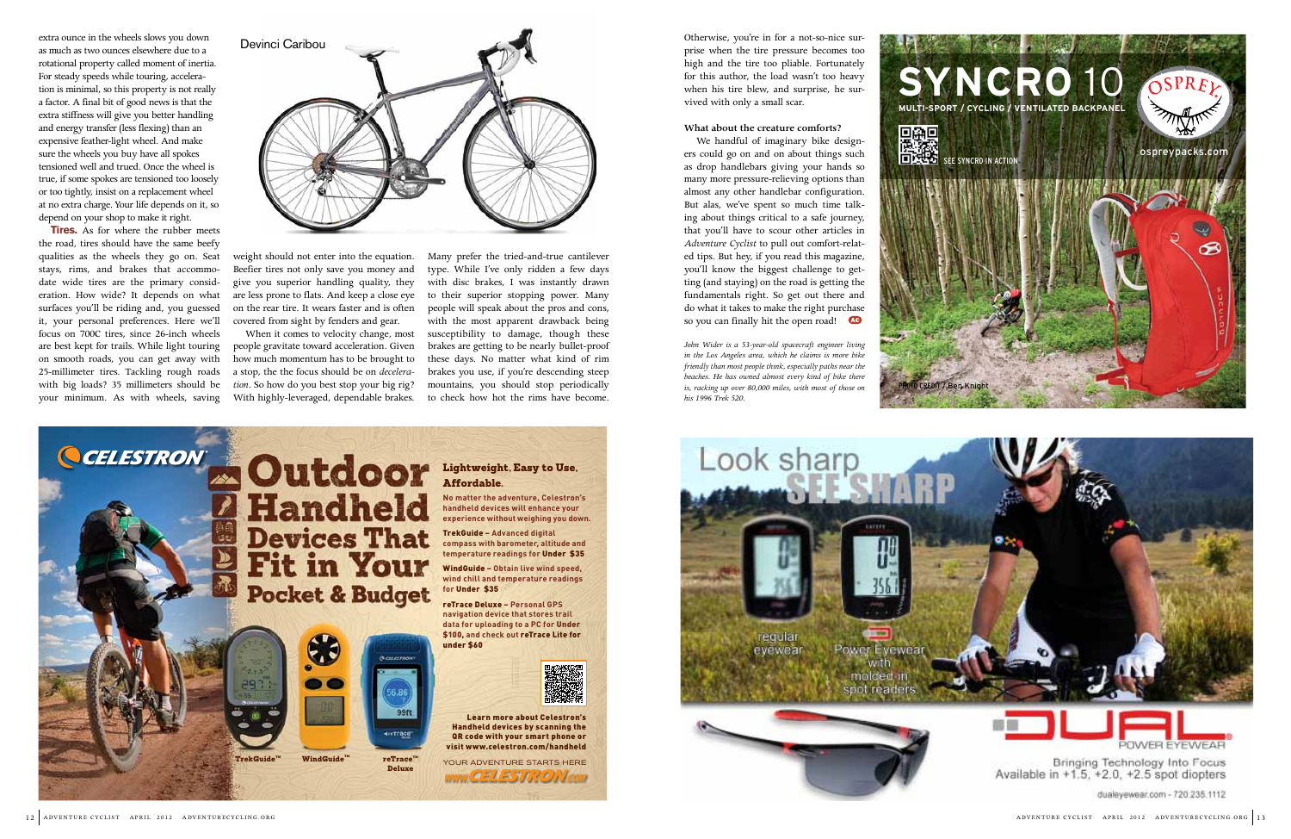

dualeyewear.com - 720.235.1112









extra ounce in the wheels slows you down as much as two ounces elsewhere due to a rotational property called moment of inertia. For steady speeds while touring, acceleration is minimal, so this property is not really a factor. A final bit of good news is that the extra stiffness will give you better handling and energy transfer (less flexing) than an expensive feather-light wheel. And make sure the wheels you buy have all spokes tensioned well and trued. Once the wheel is true, if some spokes are tensioned too loosely or too tightly, insist on a replacement wheel at no extra charge. Your life depends on it, so depend on your shop to make it right.

We handful of imaginary bike designers could go on and on about things such as drop handlebars giving your hands so many more pressure-relieving options than almost any other handlebar configuration. But alas, we've spent so much time talking about things critical to a safe journey, that you'll have to scour other articles in *Adventure Cyclist* to pull out comfort-related tips. But hey, if you read this magazine, you'll know the biggest challenge to getting (and staying) on the road is getting the fundamentals right. So get out there and do what it takes to make the right purchase so you can finally hit the open road!

**Tires.** As for where the rubber meets the road, tires should have the same beefy qualities as the wheels they go on. Seat stays, rims, and brakes that accommodate wide tires are the primary consideration. How wide? It depends on what surfaces you'll be riding and, you guessed it, your personal preferences. Here we'll focus on 700C tires, since 26-inch wheels are best kept for trails. While light touring on smooth roads, you can get away with 25-millimeter tires. Tackling rough roads with big loads? 35 millimeters should be your minimum. As with wheels, saving

weight should not enter into the equation. Beefier tires not only save you money and give you superior handling quality, they are less prone to flats. And keep a close eye on the rear tire. It wears faster and is often covered from sight by fenders and gear.

When it comes to velocity change, most people gravitate toward acceleration. Given how much momentum has to be brought to a stop, the the focus should be on *deceleration*. So how do you best stop your big rig? With highly-leveraged, dependable brakes.

Many prefer the tried-and-true cantilever type. While I've only ridden a few days with disc brakes, I was instantly drawn to their superior stopping power. Many people will speak about the pros and cons, with the most apparent drawback being susceptibility to damage, though these brakes are getting to be nearly bullet-proof these days. No matter what kind of rim brakes you use, if you're descending steep mountains, you should stop periodically to check how hot the rims have become.

Otherwise, you're in for a not-so-nice surprise when the tire pressure becomes too high and the tire too pliable. Fortunately for this author, the load wasn't too heavy when his tire blew, and surprise, he survived with only a small scar.

### **What about the creature comforts?**

*John Wider is a 53-year-old spacecraft engineer living in the Los Angeles area, which he claims is more bike friendly than most people think, especially paths near the beaches. He has owned almost every kind of bike there is, racking up over 80,000 miles, with most of those on his 1996 Trek 520.*